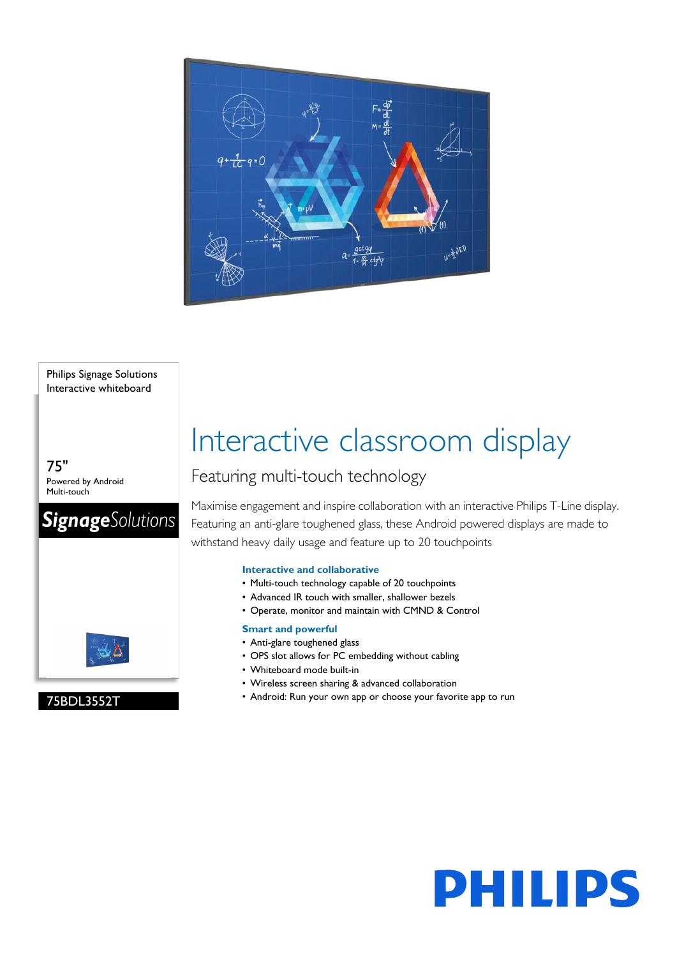

#### Philips Signage Solutions Interactive whiteboard

75" Powered by Android Multi-touch

75BDL3552T



# Interactive classroom display

### Featuring multi-touch technology

Maximise engagement and inspire collaboration with an interactive Philips T-Line display. Featuring an anti-glare toughened glass, these Android powered displays are made to withstand heavy daily usage and feature up to 20 touchpoints

#### **Interactive and collaborative**

- Multi-touch technology capable of 20 touchpoints
- Advanced IR touch with smaller, shallower bezels
- Operate, monitor and maintain with CMND & Control

#### **Smart and powerful**

- Anti-glare toughened glass
- OPS slot allows for PC embedding without cabling
- Whiteboard mode built-in
- Wireless screen sharing & advanced collaboration
- Android: Run your own app or choose your favorite app to run

# **PHILIPS**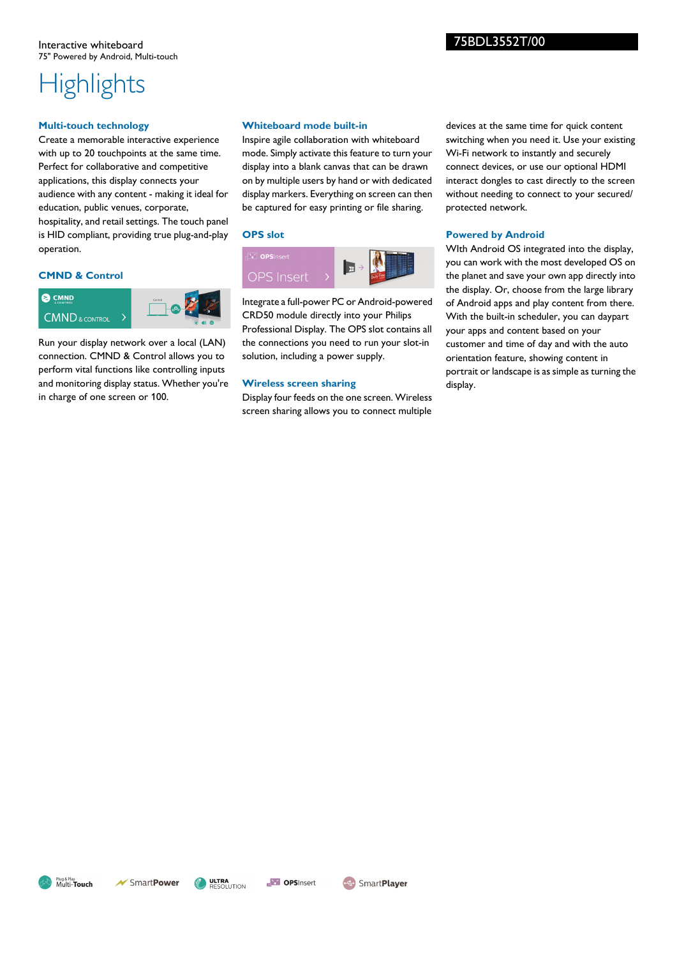#### **Multi-touch technology**

Create a memorable interactive experience with up to 20 touchpoints at the same time. Perfect for collaborative and competitive applications, this display connects your audience with any content - making it ideal for education, public venues, corporate, hospitality, and retail settings. The touch panel is HID compliant, providing true plug-and-play operation.

#### **CMND & Control**



Run your display network over a local (LAN) connection. CMND & Control allows you to perform vital functions like controlling inputs and monitoring display status. Whether you're in charge of one screen or 100.

#### **Whiteboard mode built-in**

Inspire agile collaboration with whiteboard mode. Simply activate this feature to turn your display into a blank canvas that can be drawn on by multiple users by hand or with dedicated display markers. Everything on screen can then be captured for easy printing or file sharing.

#### **OPS slot**



Integrate a full-power PC or Android-powered CRD50 module directly into your Philips Professional Display. The OPS slot contains all the connections you need to run your slot-in solution, including a power supply.

#### **Wireless screen sharing**

Display four feeds on the one screen. Wireless screen sharing allows you to connect multiple

devices at the same time for quick content switching when you need it. Use your existing Wi-Fi network to instantly and securely connect devices, or use our optional HDMI interact dongles to cast directly to the screen without needing to connect to your secured/ protected network.

#### **Powered by Android**

WIth Android OS integrated into the display, you can work with the most developed OS on the planet and save your own app directly into the display. Or, choose from the large library of Android apps and play content from there. With the built-in scheduler, you can daypart your apps and content based on your customer and time of day and with the auto orientation feature, showing content in portrait or landscape is as simple as turning the display.

75BDL3552T/00



**ULTRA**<br>RESOLUTION